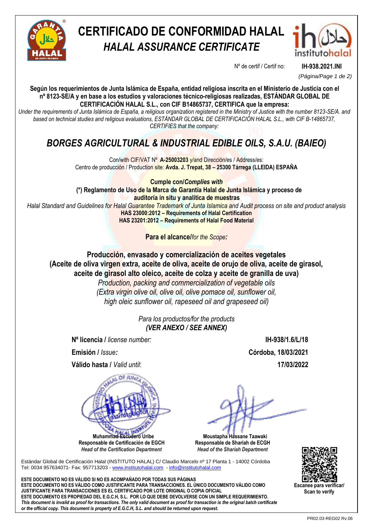

# **CERTIFICADO DE CONFORMIDAD HALAL** *HALAL ASSURANCE CERTIFICATE*



Nº de certif / Certif no: **IH-938.2021.INI**

*(Página/Page 1 de 2)*

**Según los requerimientos de Junta Islámica de España, entidad religiosa inscrita en el Ministerio de Justicia con el nº 8123-SE/A y en base a los estudios y valoraciones técnico-religiosas realizadas, ESTÁNDAR GLOBAL DE CERTIFICACIÓN HALAL S.L., con CIF B14865737, CERTIFICA que la empresa:**

*Under the requirements of Junta Islámica de España, a religious organization registered in the Ministry of Justice with the number 8123-SE/A. and based on technical studies and religious evaluations, ESTÁNDAR GLOBAL DE CERTIFICACIÓN HALAL S.L., with CIF B-14865737, CERTIFIES that the company:*

## *BORGES AGRICULTURAL & INDUSTRIAL EDIBLE OILS, S.A.U. (BAIEO)*

Con/with CIF/VAT Nº **A-25003203** y/and Dirección/es / Address/es: Centro de producción / Production site: **Avda. J. Trepat, 38 – 25300 Tárrega (LLEIDA) ESPAÑA**

**Cumple con/***Complies with* **(\*) Reglamento de Uso de la Marca de Garantía Halal de Junta Islámica y proceso de auditoría in situ y analítica de muestras** *Halal Standard and Guidelines for Halal Guarantee Trademark of Junta Islamica and Audit process on site and product analysis* **HAS 23000:2012 – Requirements of Halal Certification HAS 23201:2012 – Requirements of Halal Food Material**

**Para el alcance/***for the Scope:*

**Producción, envasado y comercialización de aceites vegetales (Aceite de oliva virgen extra, aceite de oliva, aceite de orujo de oliva, aceite de girasol, aceite de girasol alto oleico, aceite de colza y aceite de granilla de uva)** *Production, packing and commercialization of vegetable oils*

*(Extra virgin olive oil, olive oil, olive pomace oil, sunflower oil, high oleic sunflower oil, rapeseed oil and grapeseed oil)*

> *Para los productos/for the products (VER ANEXO / SEE ANNEX)*

**Nº licencia /** *license number:* **IH-938/1.6/L/18**

**Emisión /** *Issue:* **Córdoba, 18/03/2021**

**Válido hasta /** *Valid until*: **17/03/2022**



 **Muhammad Escudero Uribe Responsable de Certificación de EGCH**  *Head of the Certification Department*

 **Moustapha Hassane Taawaki Responsable de Shariah de ECGH** *Head of the Shariah Department*

Estándar Global de Certificación Halal (INSTITUTO HALAL) C/ Claudio Marcelo nº 17 Planta 1 - 14002 Córdoba Tel: 0034 957634071- Fax: 957713203 - [www.institutohalal.com](http://www.institutohalal.com/) - [info@institutohalal.com](mailto:info@institutohalal.com)

**ESTE DOCUMENTO NO ES VÁLIDO SI NO ES ACOMPAÑADO POR TODAS SUS PÁGINAS ESTE DOCUMENTO NO ES VÁLIDO COMO JUSTIFICANTE PARA TRANSACCIONES. EL ÚNICO DOCUMENTO VÁLIDO COMO JUSTIFICANTE PARA TRANSACCIONES ES EL CERTIFICADO POR LOTE ORIGINAL O COPIA OFICIAL ESTE DOCUMENTO ES PROPIEDAD DEL E.G.C.H, S.L. POR LO QUE DEBE DEVOLVERSE CON UN SIMPLE REQUERIMIENTO.** *This document is invalid as proof for transactions. The only valid document as proof for transaction is the original batch certificate or the official copy. This document is property of E.G.C.H, S.L. and should be returned upon request.*